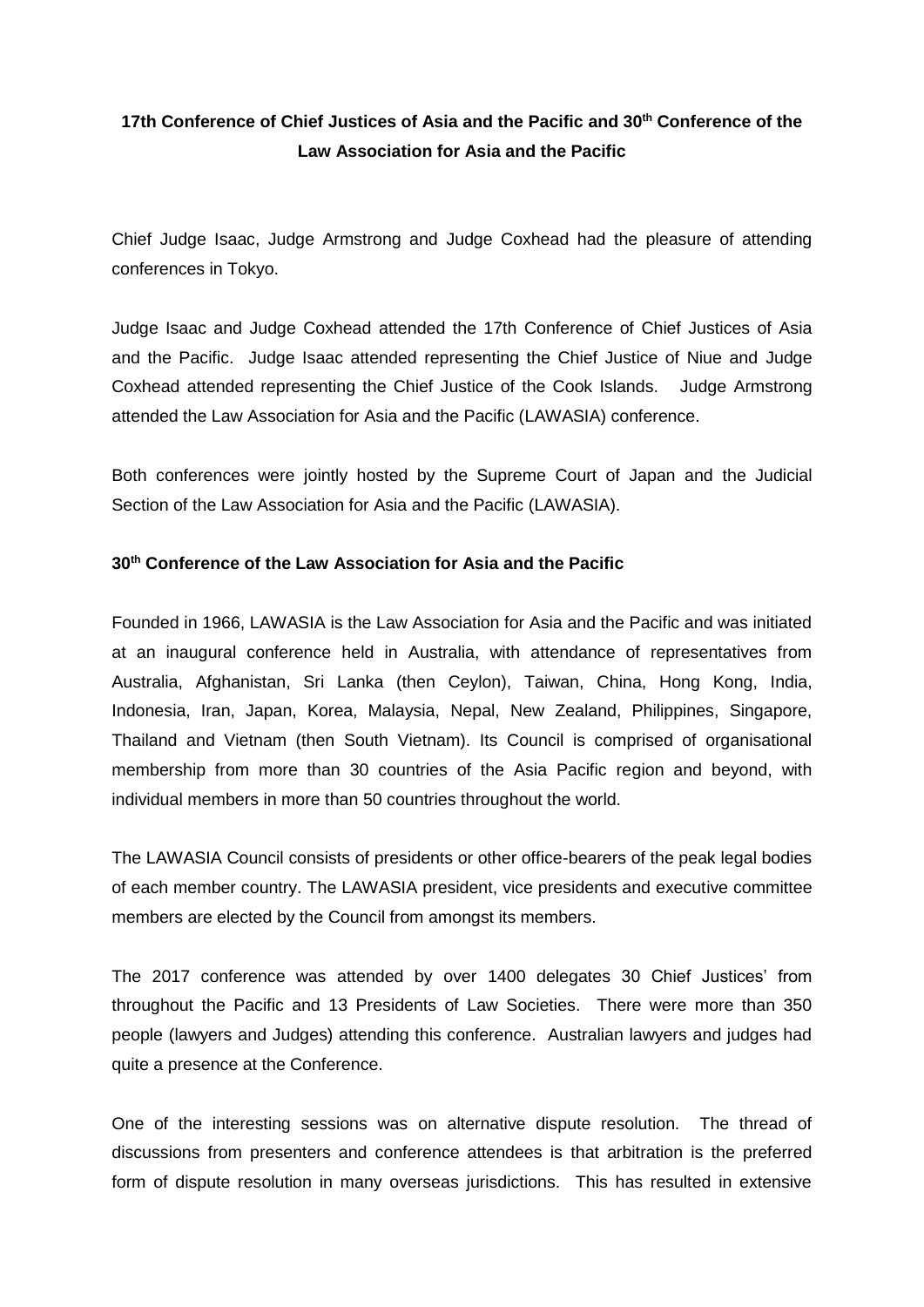## **17th Conference of Chief Justices of Asia and the Pacific and 30th Conference of the Law Association for Asia and the Pacific**

Chief Judge Isaac, Judge Armstrong and Judge Coxhead had the pleasure of attending conferences in Tokyo.

Judge Isaac and Judge Coxhead attended the 17th Conference of Chief Justices of Asia and the Pacific. Judge Isaac attended representing the Chief Justice of Niue and Judge Coxhead attended representing the Chief Justice of the Cook Islands. Judge Armstrong attended the Law Association for Asia and the Pacific (LAWASIA) conference.

Both conferences were jointly hosted by the Supreme Court of Japan and the Judicial Section of the Law Association for Asia and the Pacific (LAWASIA).

## **30th Conference of the Law Association for Asia and the Pacific**

Founded in 1966, LAWASIA is the Law Association for Asia and the Pacific and was initiated at an inaugural conference held in Australia, with attendance of representatives from Australia, Afghanistan, Sri Lanka (then Ceylon), Taiwan, China, Hong Kong, India, Indonesia, Iran, Japan, Korea, Malaysia, Nepal, New Zealand, Philippines, Singapore, Thailand and Vietnam (then South Vietnam). Its Council is comprised of organisational membership from more than 30 countries of the Asia Pacific region and beyond, with individual members in more than 50 countries throughout the world.

The LAWASIA Council consists of presidents or other office-bearers of the peak legal bodies of each member country. The LAWASIA president, vice presidents and executive committee members are elected by the Council from amongst its members.

The 2017 conference was attended by over 1400 delegates 30 Chief Justices' from throughout the Pacific and 13 Presidents of Law Societies. There were more than 350 people (lawyers and Judges) attending this conference. Australian lawyers and judges had quite a presence at the Conference.

One of the interesting sessions was on alternative dispute resolution. The thread of discussions from presenters and conference attendees is that arbitration is the preferred form of dispute resolution in many overseas jurisdictions. This has resulted in extensive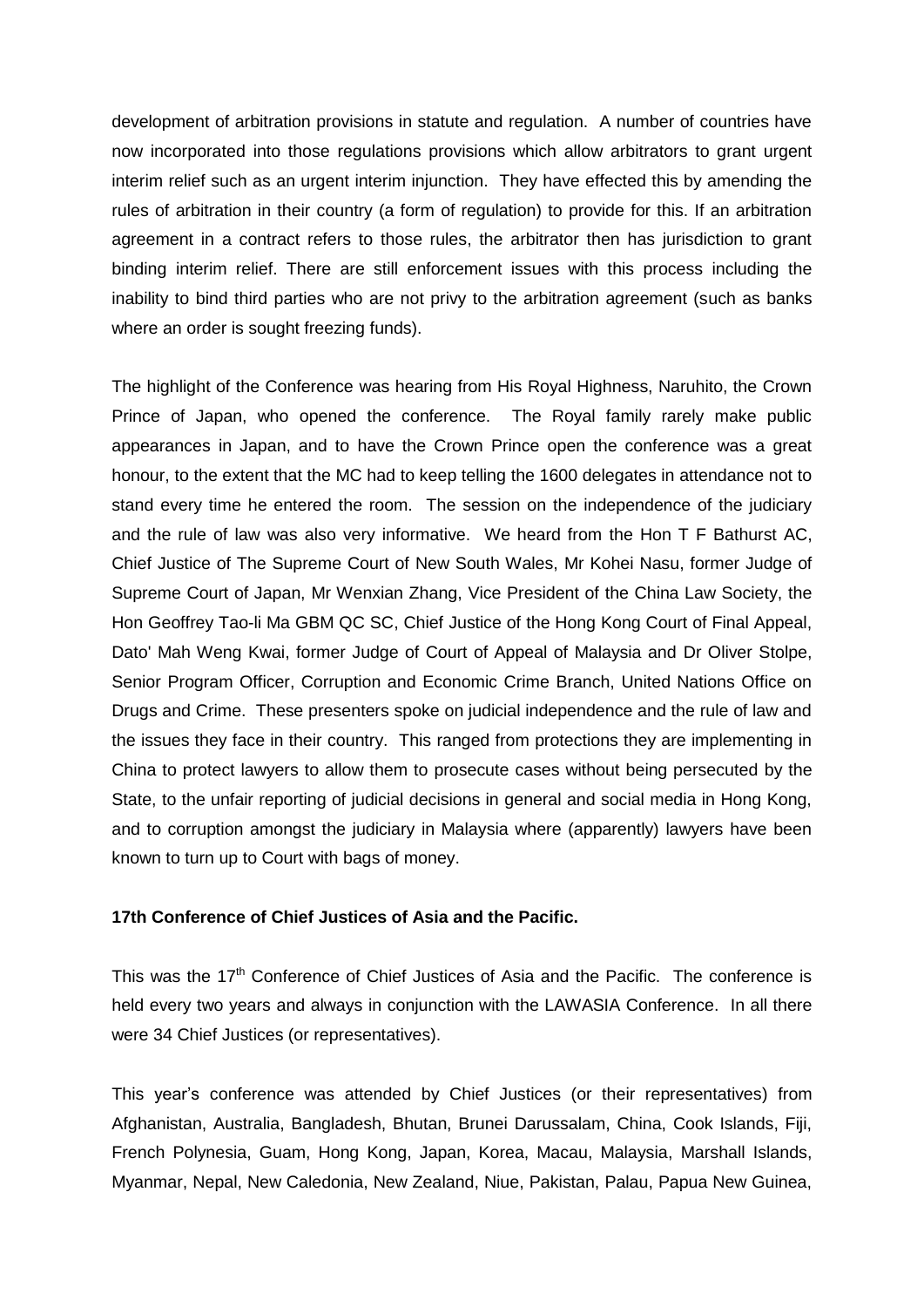development of arbitration provisions in statute and regulation. A number of countries have now incorporated into those regulations provisions which allow arbitrators to grant urgent interim relief such as an urgent interim injunction. They have effected this by amending the rules of arbitration in their country (a form of regulation) to provide for this. If an arbitration agreement in a contract refers to those rules, the arbitrator then has jurisdiction to grant binding interim relief. There are still enforcement issues with this process including the inability to bind third parties who are not privy to the arbitration agreement (such as banks where an order is sought freezing funds).

The highlight of the Conference was hearing from His Royal Highness, Naruhito, the Crown Prince of Japan, who opened the conference. The Royal family rarely make public appearances in Japan, and to have the Crown Prince open the conference was a great honour, to the extent that the MC had to keep telling the 1600 delegates in attendance not to stand every time he entered the room. The session on the independence of the judiciary and the rule of law was also very informative. We heard from the Hon T F Bathurst AC, Chief Justice of The Supreme Court of New South Wales, Mr Kohei Nasu, former Judge of Supreme Court of Japan, Mr Wenxian Zhang, Vice President of the China Law Society, the Hon Geoffrey Tao-li Ma GBM QC SC, Chief Justice of the Hong Kong Court of Final Appeal, Dato' Mah Weng Kwai, former Judge of Court of Appeal of Malaysia and Dr Oliver Stolpe, Senior Program Officer, Corruption and Economic Crime Branch, United Nations Office on Drugs and Crime. These presenters spoke on judicial independence and the rule of law and the issues they face in their country. This ranged from protections they are implementing in China to protect lawyers to allow them to prosecute cases without being persecuted by the State, to the unfair reporting of judicial decisions in general and social media in Hong Kong, and to corruption amongst the judiciary in Malaysia where (apparently) lawyers have been known to turn up to Court with bags of money.

## **17th Conference of Chief Justices of Asia and the Pacific.**

This was the 17th Conference of Chief Justices of Asia and the Pacific. The conference is held every two years and always in conjunction with the LAWASIA Conference. In all there were 34 Chief Justices (or representatives).

This year's conference was attended by Chief Justices (or their representatives) from Afghanistan, Australia, Bangladesh, Bhutan, Brunei Darussalam, China, Cook Islands, Fiji, French Polynesia, Guam, Hong Kong, Japan, Korea, Macau, Malaysia, Marshall Islands, Myanmar, Nepal, New Caledonia, New Zealand, Niue, Pakistan, Palau, Papua New Guinea,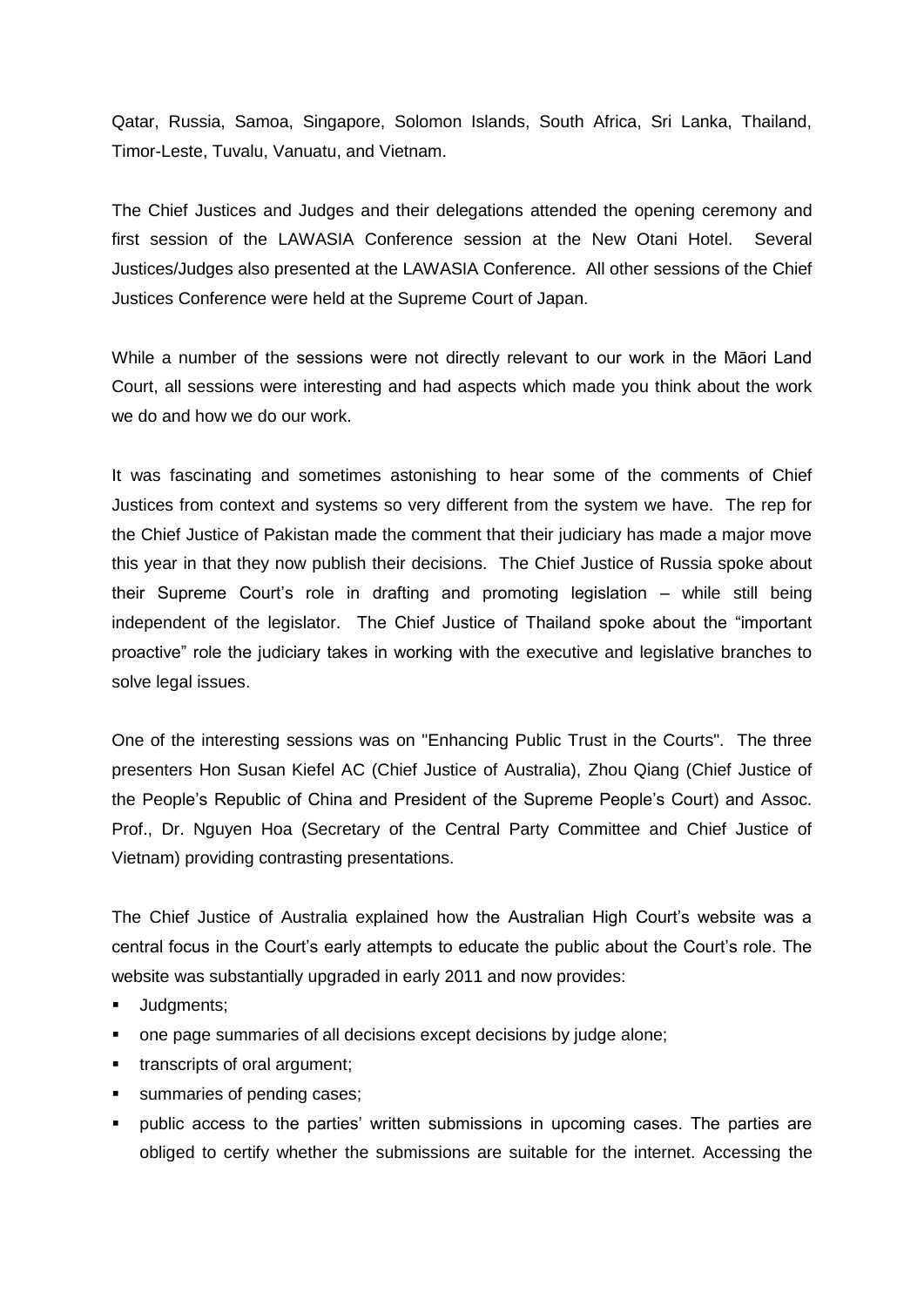Qatar, Russia, Samoa, Singapore, Solomon Islands, South Africa, Sri Lanka, Thailand, Timor-Leste, Tuvalu, Vanuatu, and Vietnam.

The Chief Justices and Judges and their delegations attended the opening ceremony and first session of the LAWASIA Conference session at the New Otani Hotel. Several Justices/Judges also presented at the LAWASIA Conference. All other sessions of the Chief Justices Conference were held at the Supreme Court of Japan.

While a number of the sessions were not directly relevant to our work in the Māori Land Court, all sessions were interesting and had aspects which made you think about the work we do and how we do our work.

It was fascinating and sometimes astonishing to hear some of the comments of Chief Justices from context and systems so very different from the system we have. The rep for the Chief Justice of Pakistan made the comment that their judiciary has made a major move this year in that they now publish their decisions. The Chief Justice of Russia spoke about their Supreme Court's role in drafting and promoting legislation – while still being independent of the legislator. The Chief Justice of Thailand spoke about the "important proactive" role the judiciary takes in working with the executive and legislative branches to solve legal issues.

One of the interesting sessions was on "Enhancing Public Trust in the Courts". The three presenters Hon Susan Kiefel AC (Chief Justice of Australia), Zhou Qiang (Chief Justice of the People's Republic of China and President of the Supreme People's Court) and Assoc. Prof., Dr. Nguyen Hoa (Secretary of the Central Party Committee and Chief Justice of Vietnam) providing contrasting presentations.

The Chief Justice of Australia explained how the Australian High Court's website was a central focus in the Court's early attempts to educate the public about the Court's role. The website was substantially upgraded in early 2011 and now provides:

- **■** Judgments;
- one page summaries of all decisions except decisions by judge alone;
- **■** transcripts of oral argument;
- summaries of pending cases;
- public access to the parties' written submissions in upcoming cases. The parties are obliged to certify whether the submissions are suitable for the internet. Accessing the